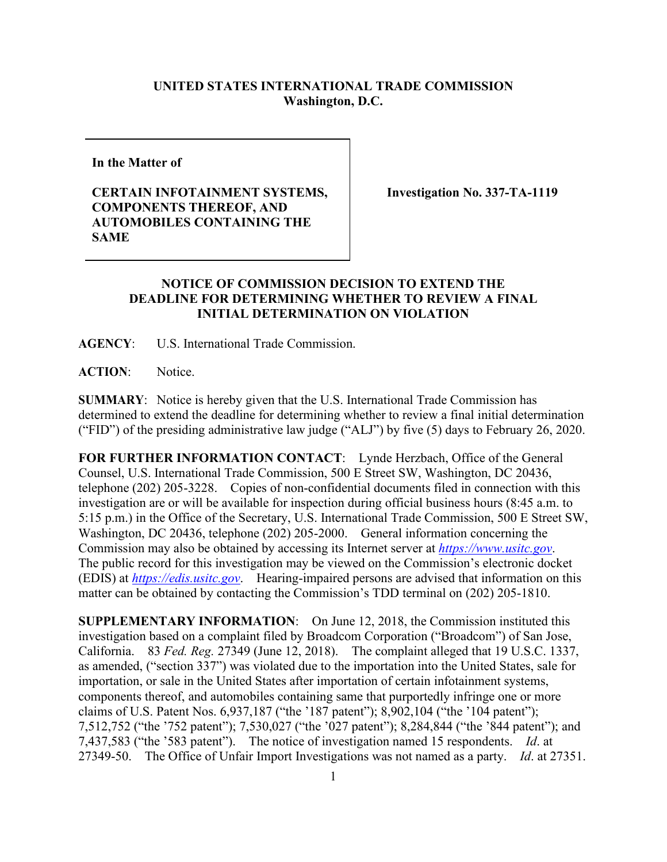## **UNITED STATES INTERNATIONAL TRADE COMMISSION Washington, D.C.**

**In the Matter of**

## **CERTAIN INFOTAINMENT SYSTEMS, COMPONENTS THEREOF, AND AUTOMOBILES CONTAINING THE SAME**

**Investigation No. 337-TA-1119**

## **NOTICE OF COMMISSION DECISION TO EXTEND THE DEADLINE FOR DETERMINING WHETHER TO REVIEW A FINAL INITIAL DETERMINATION ON VIOLATION**

**AGENCY**: U.S. International Trade Commission.

**ACTION**: Notice.

**SUMMARY**: Notice is hereby given that the U.S. International Trade Commission has determined to extend the deadline for determining whether to review a final initial determination ("FID") of the presiding administrative law judge ("ALJ") by five (5) days to February 26, 2020.

**FOR FURTHER INFORMATION CONTACT**: Lynde Herzbach, Office of the General Counsel, U.S. International Trade Commission, 500 E Street SW, Washington, DC 20436, telephone (202) 205-3228. Copies of non-confidential documents filed in connection with this investigation are or will be available for inspection during official business hours (8:45 a.m. to 5:15 p.m.) in the Office of the Secretary, U.S. International Trade Commission, 500 E Street SW, Washington, DC 20436, telephone (202) 205-2000. General information concerning the Commission may also be obtained by accessing its Internet server at *[https://www.usitc.gov](https://www.usitc.gov/)*. The public record for this investigation may be viewed on the Commission's electronic docket (EDIS) at *[https://edis.usitc.gov](https://edis.usitc.gov/)*. Hearing-impaired persons are advised that information on this matter can be obtained by contacting the Commission's TDD terminal on (202) 205-1810.

**SUPPLEMENTARY INFORMATION**: On June 12, 2018, the Commission instituted this investigation based on a complaint filed by Broadcom Corporation ("Broadcom") of San Jose, California. 83 *Fed. Reg.* 27349 (June 12, 2018). The complaint alleged that 19 U.S.C. 1337, as amended, ("section 337") was violated due to the importation into the United States, sale for importation, or sale in the United States after importation of certain infotainment systems, components thereof, and automobiles containing same that purportedly infringe one or more claims of U.S. Patent Nos. 6,937,187 ("the '187 patent"); 8,902,104 ("the '104 patent"); 7,512,752 ("the '752 patent"); 7,530,027 ("the '027 patent"); 8,284,844 ("the '844 patent"); and 7,437,583 ("the '583 patent"). The notice of investigation named 15 respondents. *Id*. at 27349-50. The Office of Unfair Import Investigations was not named as a party. *Id*. at 27351.